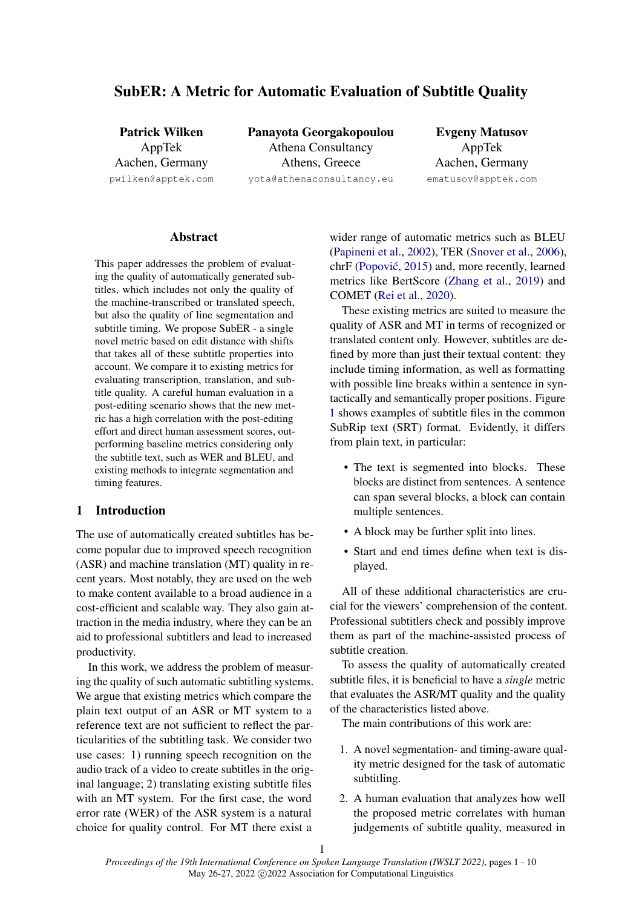# SubER: A Metric for Automatic Evaluation of Subtitle Quality

Patrick Wilken AppTek Aachen, Germany pwilken@apptek.com Panayota Georgakopoulou Athena Consultancy Athens, Greece yota@athenaconsultancy.eu

Evgeny Matusov AppTek Aachen, Germany ematusov@apptek.com

# **Abstract**

This paper addresses the problem of evaluating the quality of automatically generated subtitles, which includes not only the quality of the machine-transcribed or translated speech, but also the quality of line segmentation and subtitle timing. We propose SubER - a single novel metric based on edit distance with shifts that takes all of these subtitle properties into account. We compare it to existing metrics for evaluating transcription, translation, and subtitle quality. A careful human evaluation in a post-editing scenario shows that the new metric has a high correlation with the post-editing effort and direct human assessment scores, outperforming baseline metrics considering only the subtitle text, such as WER and BLEU, and existing methods to integrate segmentation and timing features.

# 1 Introduction

The use of automatically created subtitles has become popular due to improved speech recognition (ASR) and machine translation (MT) quality in recent years. Most notably, they are used on the web to make content available to a broad audience in a cost-efficient and scalable way. They also gain attraction in the media industry, where they can be an aid to professional subtitlers and lead to increased productivity.

In this work, we address the problem of measuring the quality of such automatic subtitling systems. We argue that existing metrics which compare the plain text output of an ASR or MT system to a reference text are not sufficient to reflect the particularities of the subtitling task. We consider two use cases: 1) running speech recognition on the audio track of a video to create subtitles in the original language; 2) translating existing subtitle files with an MT system. For the first case, the word error rate (WER) of the ASR system is a natural choice for quality control. For MT there exist a wider range of automatic metrics such as BLEU [\(Papineni et al.,](#page-8-0) [2002\)](#page-8-0), TER [\(Snover et al.,](#page-9-0) [2006\)](#page-9-0), chrF (Popović, [2015\)](#page-8-1) and, more recently, learned metrics like BertScore [\(Zhang et al.,](#page-9-1) [2019\)](#page-9-1) and COMET [\(Rei et al.,](#page-8-2) [2020\)](#page-8-2).

These existing metrics are suited to measure the quality of ASR and MT in terms of recognized or translated content only. However, subtitles are defined by more than just their textual content: they include timing information, as well as formatting with possible line breaks within a sentence in syntactically and semantically proper positions. Figure [1](#page-1-0) shows examples of subtitle files in the common SubRip text (SRT) format. Evidently, it differs from plain text, in particular:

- The text is segmented into blocks. These blocks are distinct from sentences. A sentence can span several blocks, a block can contain multiple sentences.
- A block may be further split into lines.
- Start and end times define when text is displayed.

All of these additional characteristics are crucial for the viewers' comprehension of the content. Professional subtitlers check and possibly improve them as part of the machine-assisted process of subtitle creation.

To assess the quality of automatically created subtitle files, it is beneficial to have a *single* metric that evaluates the ASR/MT quality and the quality of the characteristics listed above.

The main contributions of this work are:

- 1. A novel segmentation- and timing-aware quality metric designed for the task of automatic subtitling.
- 2. A human evaluation that analyzes how well the proposed metric correlates with human judgements of subtitle quality, measured in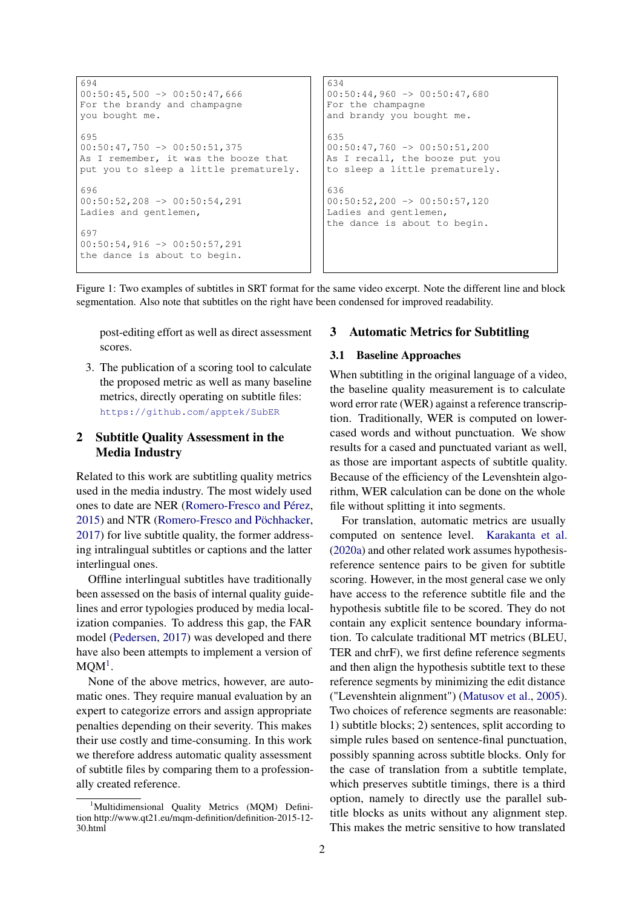```
694
00:50:45,500 \rightarrow 00:50:47,666For the brandy and champagne
you bought me.
695
00:50:47,750 \rightarrow 00:50:51,375As I remember, it was the booze that
put you to sleep a little prematurely.
696
00:50:52,208 \rightarrow 00:50:54,291Ladies and gentlemen,
697
00:50:54,916 -> 00:50:57,291the dance is about to begin.
                                               634
                                               00:50:44,960 -> 00:50:47,680For the champagne
                                               and brandy you bought me.
                                               635
                                               00:50:47,760 \rightarrow 00:50:51,200As I recall, the booze put you
                                               to sleep a little prematurely.
                                               636
                                               00:50:52,200 \rightarrow 00:50:57,120Ladies and gentlemen,
                                               the dance is about to begin.
```
Figure 1: Two examples of subtitles in SRT format for the same video excerpt. Note the different line and block segmentation. Also note that subtitles on the right have been condensed for improved readability.

post-editing effort as well as direct assessment scores.

3. The publication of a scoring tool to calculate the proposed metric as well as many baseline metrics, directly operating on subtitle files: <https://github.com/apptek/SubER>

# 2 Subtitle Quality Assessment in the Media Industry

Related to this work are subtitling quality metrics used in the media industry. The most widely used ones to date are NER [\(Romero-Fresco and Pérez,](#page-9-2) [2015\)](#page-9-2) and NTR [\(Romero-Fresco and Pöchhacker,](#page-8-3) [2017\)](#page-8-3) for live subtitle quality, the former addressing intralingual subtitles or captions and the latter interlingual ones.

Offline interlingual subtitles have traditionally been assessed on the basis of internal quality guidelines and error typologies produced by media localization companies. To address this gap, the FAR model [\(Pedersen,](#page-8-4) [2017\)](#page-8-4) was developed and there have also been attempts to implement a version of  $MQM<sup>1</sup>$  $MQM<sup>1</sup>$  $MQM<sup>1</sup>$ .

None of the above metrics, however, are automatic ones. They require manual evaluation by an expert to categorize errors and assign appropriate penalties depending on their severity. This makes their use costly and time-consuming. In this work we therefore address automatic quality assessment of subtitle files by comparing them to a professionally created reference.

## 3 Automatic Metrics for Subtitling

# <span id="page-1-2"></span>3.1 Baseline Approaches

When subtitling in the original language of a video, the baseline quality measurement is to calculate word error rate (WER) against a reference transcription. Traditionally, WER is computed on lowercased words and without punctuation. We show results for a cased and punctuated variant as well, as those are important aspects of subtitle quality. Because of the efficiency of the Levenshtein algorithm, WER calculation can be done on the whole file without splitting it into segments.

For translation, automatic metrics are usually computed on sentence level. [Karakanta et al.](#page-8-5) [\(2020a\)](#page-8-5) and other related work assumes hypothesisreference sentence pairs to be given for subtitle scoring. However, in the most general case we only have access to the reference subtitle file and the hypothesis subtitle file to be scored. They do not contain any explicit sentence boundary information. To calculate traditional MT metrics (BLEU, TER and chrF), we first define reference segments and then align the hypothesis subtitle text to these reference segments by minimizing the edit distance ("Levenshtein alignment") [\(Matusov et al.,](#page-8-6) [2005\)](#page-8-6). Two choices of reference segments are reasonable: 1) subtitle blocks; 2) sentences, split according to simple rules based on sentence-final punctuation, possibly spanning across subtitle blocks. Only for the case of translation from a subtitle template, which preserves subtitle timings, there is a third option, namely to directly use the parallel subtitle blocks as units without any alignment step. This makes the metric sensitive to how translated

<span id="page-1-1"></span><sup>&</sup>lt;sup>1</sup>Multidimensional Quality Metrics (MQM) Definition http://www.qt21.eu/mqm-definition/definition-2015-12- 30.html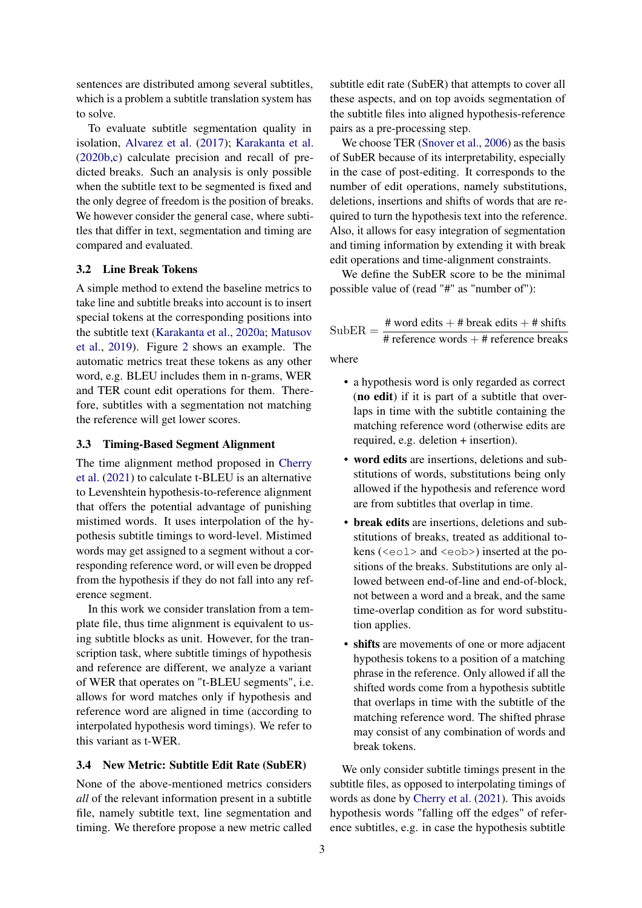sentences are distributed among several subtitles, which is a problem a subtitle translation system has to solve.

To evaluate subtitle segmentation quality in isolation, [Alvarez et al.](#page-8-7) [\(2017\)](#page-8-7); [Karakanta et al.](#page-8-8) [\(2020b,](#page-8-8)[c\)](#page-8-9) calculate precision and recall of predicted breaks. Such an analysis is only possible when the subtitle text to be segmented is fixed and the only degree of freedom is the position of breaks. We however consider the general case, where subtitles that differ in text, segmentation and timing are compared and evaluated.

# 3.2 Line Break Tokens

A simple method to extend the baseline metrics to take line and subtitle breaks into account is to insert special tokens at the corresponding positions into the subtitle text [\(Karakanta et al.,](#page-8-5) [2020a;](#page-8-5) [Matusov](#page-8-10) [et al.,](#page-8-10) [2019\)](#page-8-10). Figure [2](#page-3-0) shows an example. The automatic metrics treat these tokens as any other word, e.g. BLEU includes them in n-grams, WER and TER count edit operations for them. Therefore, subtitles with a segmentation not matching the reference will get lower scores.

# <span id="page-2-0"></span>3.3 Timing-Based Segment Alignment

The time alignment method proposed in [Cherry](#page-8-11) [et al.](#page-8-11) [\(2021\)](#page-8-11) to calculate t-BLEU is an alternative to Levenshtein hypothesis-to-reference alignment that offers the potential advantage of punishing mistimed words. It uses interpolation of the hypothesis subtitle timings to word-level. Mistimed words may get assigned to a segment without a corresponding reference word, or will even be dropped from the hypothesis if they do not fall into any reference segment.

In this work we consider translation from a template file, thus time alignment is equivalent to using subtitle blocks as unit. However, for the transcription task, where subtitle timings of hypothesis and reference are different, we analyze a variant of WER that operates on "t-BLEU segments", i.e. allows for word matches only if hypothesis and reference word are aligned in time (according to interpolated hypothesis word timings). We refer to this variant as t-WER.

#### 3.4 New Metric: Subtitle Edit Rate (SubER)

None of the above-mentioned metrics considers *all* of the relevant information present in a subtitle file, namely subtitle text, line segmentation and timing. We therefore propose a new metric called subtitle edit rate (SubER) that attempts to cover all these aspects, and on top avoids segmentation of the subtitle files into aligned hypothesis-reference pairs as a pre-processing step.

We choose TER [\(Snover et al.,](#page-9-0) [2006\)](#page-9-0) as the basis of SubER because of its interpretability, especially in the case of post-editing. It corresponds to the number of edit operations, namely substitutions, deletions, insertions and shifts of words that are required to turn the hypothesis text into the reference. Also, it allows for easy integration of segmentation and timing information by extending it with break edit operations and time-alignment constraints.

We define the SubER score to be the minimal possible value of (read "#" as "number of"):

$$
SubER = \frac{\text{# word edits} + \text{# break edits} + \text{# shifts}}{\text{# reference words} + \text{# reference breaks}}
$$

where

- a hypothesis word is only regarded as correct (no edit) if it is part of a subtitle that overlaps in time with the subtitle containing the matching reference word (otherwise edits are required, e.g. deletion + insertion).
- word edits are insertions, deletions and substitutions of words, substitutions being only allowed if the hypothesis and reference word are from subtitles that overlap in time.
- break edits are insertions, deletions and substitutions of breaks, treated as additional tokens (<eol> and <eob>) inserted at the positions of the breaks. Substitutions are only allowed between end-of-line and end-of-block, not between a word and a break, and the same time-overlap condition as for word substitution applies.
- shifts are movements of one or more adjacent hypothesis tokens to a position of a matching phrase in the reference. Only allowed if all the shifted words come from a hypothesis subtitle that overlaps in time with the subtitle of the matching reference word. The shifted phrase may consist of any combination of words and break tokens.

We only consider subtitle timings present in the subtitle files, as opposed to interpolating timings of words as done by [Cherry et al.](#page-8-11) [\(2021\)](#page-8-11). This avoids hypothesis words "falling off the edges" of reference subtitles, e.g. in case the hypothesis subtitle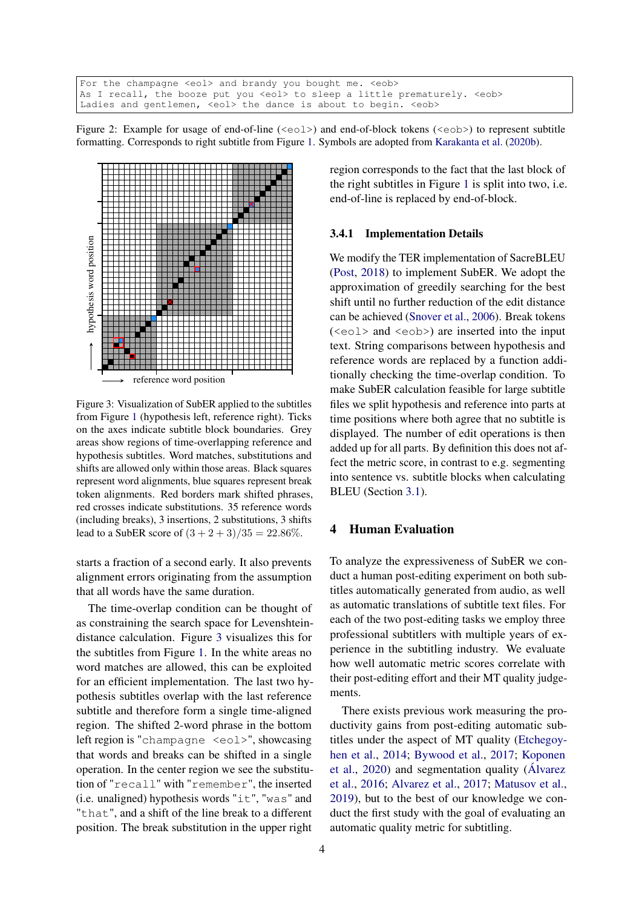```
For the champagne <eol> and brandy you bought me. <eob>
As I recall, the booze put you <eol> to sleep a little prematurely. <eob>
Ladies and gentlemen, <eol> the dance is about to begin. <eob>
```
Figure 2: Example for usage of end-of-line ( $\langle \text{eol}\rangle$ ) and end-of-block tokens ( $\langle \text{eol}\rangle$ ) to represent subtitle formatting. Corresponds to right subtitle from Figure [1.](#page-1-0) Symbols are adopted from [Karakanta et al.](#page-8-8) [\(2020b\)](#page-8-8).

<span id="page-3-1"></span>

Figure 3: Visualization of SubER applied to the subtitles from Figure [1](#page-1-0) (hypothesis left, reference right). Ticks on the axes indicate subtitle block boundaries. Grey areas show regions of time-overlapping reference and hypothesis subtitles. Word matches, substitutions and shifts are allowed only within those areas. Black squares represent word alignments, blue squares represent break token alignments. Red borders mark shifted phrases, red crosses indicate substitutions. 35 reference words (including breaks), 3 insertions, 2 substitutions, 3 shifts lead to a SubER score of  $(3 + 2 + 3)/35 = 22.86\%$ .

starts a fraction of a second early. It also prevents alignment errors originating from the assumption that all words have the same duration.

The time-overlap condition can be thought of as constraining the search space for Levenshteindistance calculation. Figure [3](#page-3-1) visualizes this for the subtitles from Figure [1.](#page-1-0) In the white areas no word matches are allowed, this can be exploited for an efficient implementation. The last two hypothesis subtitles overlap with the last reference subtitle and therefore form a single time-aligned region. The shifted 2-word phrase in the bottom left region is "champagne <eol>", showcasing that words and breaks can be shifted in a single operation. In the center region we see the substitution of "recall" with "remember", the inserted (i.e. unaligned) hypothesis words "it", "was" and "that", and a shift of the line break to a different position. The break substitution in the upper right

region corresponds to the fact that the last block of the right subtitles in Figure [1](#page-1-0) is split into two, i.e. end-of-line is replaced by end-of-block.

#### 3.4.1 Implementation Details

We modify the TER implementation of SacreBLEU [\(Post,](#page-8-12) [2018\)](#page-8-12) to implement SubER. We adopt the approximation of greedily searching for the best shift until no further reduction of the edit distance can be achieved [\(Snover et al.,](#page-9-0) [2006\)](#page-9-0). Break tokens (<eol> and <eob>) are inserted into the input text. String comparisons between hypothesis and reference words are replaced by a function additionally checking the time-overlap condition. To make SubER calculation feasible for large subtitle files we split hypothesis and reference into parts at time positions where both agree that no subtitle is displayed. The number of edit operations is then added up for all parts. By definition this does not affect the metric score, in contrast to e.g. segmenting into sentence vs. subtitle blocks when calculating BLEU (Section [3.1\)](#page-1-2).

## 4 Human Evaluation

To analyze the expressiveness of SubER we conduct a human post-editing experiment on both subtitles automatically generated from audio, as well as automatic translations of subtitle text files. For each of the two post-editing tasks we employ three professional subtitlers with multiple years of experience in the subtitling industry. We evaluate how well automatic metric scores correlate with their post-editing effort and their MT quality judgements.

There exists previous work measuring the productivity gains from post-editing automatic subtitles under the aspect of MT quality [\(Etchegoy](#page-8-13)[hen et al.,](#page-8-13) [2014;](#page-8-13) [Bywood et al.,](#page-8-14) [2017;](#page-8-14) [Koponen](#page-8-15) [et al.,](#page-8-15) [2020\)](#page-8-15) and segmentation quality [\(Álvarez](#page-8-16) [et al.,](#page-8-16) [2016;](#page-8-16) [Alvarez et al.,](#page-8-7) [2017;](#page-8-7) [Matusov et al.,](#page-8-10) [2019\)](#page-8-10), but to the best of our knowledge we conduct the first study with the goal of evaluating an automatic quality metric for subtitling.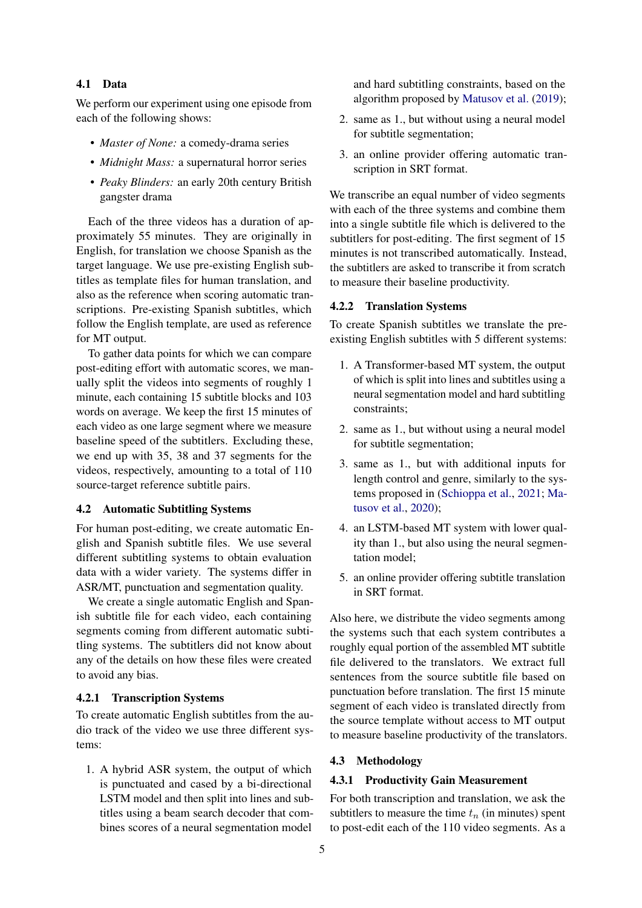### 4.1 Data

We perform our experiment using one episode from each of the following shows:

- *Master of None:* a comedy-drama series
- *Midnight Mass:* a supernatural horror series
- *Peaky Blinders:* an early 20th century British gangster drama

Each of the three videos has a duration of approximately 55 minutes. They are originally in English, for translation we choose Spanish as the target language. We use pre-existing English subtitles as template files for human translation, and also as the reference when scoring automatic transcriptions. Pre-existing Spanish subtitles, which follow the English template, are used as reference for MT output.

To gather data points for which we can compare post-editing effort with automatic scores, we manually split the videos into segments of roughly 1 minute, each containing 15 subtitle blocks and 103 words on average. We keep the first 15 minutes of each video as one large segment where we measure baseline speed of the subtitlers. Excluding these, we end up with 35, 38 and 37 segments for the videos, respectively, amounting to a total of 110 source-target reference subtitle pairs.

# 4.2 Automatic Subtitling Systems

For human post-editing, we create automatic English and Spanish subtitle files. We use several different subtitling systems to obtain evaluation data with a wider variety. The systems differ in ASR/MT, punctuation and segmentation quality.

We create a single automatic English and Spanish subtitle file for each video, each containing segments coming from different automatic subtitling systems. The subtitlers did not know about any of the details on how these files were created to avoid any bias.

#### 4.2.1 Transcription Systems

To create automatic English subtitles from the audio track of the video we use three different systems:

1. A hybrid ASR system, the output of which is punctuated and cased by a bi-directional LSTM model and then split into lines and subtitles using a beam search decoder that combines scores of a neural segmentation model

and hard subtitling constraints, based on the algorithm proposed by [Matusov et al.](#page-8-10) [\(2019\)](#page-8-10);

- 2. same as 1., but without using a neural model for subtitle segmentation;
- 3. an online provider offering automatic transcription in SRT format.

We transcribe an equal number of video segments with each of the three systems and combine them into a single subtitle file which is delivered to the subtitlers for post-editing. The first segment of 15 minutes is not transcribed automatically. Instead, the subtitlers are asked to transcribe it from scratch to measure their baseline productivity.

# 4.2.2 Translation Systems

To create Spanish subtitles we translate the preexisting English subtitles with 5 different systems:

- 1. A Transformer-based MT system, the output of which is split into lines and subtitles using a neural segmentation model and hard subtitling constraints;
- 2. same as 1., but without using a neural model for subtitle segmentation;
- 3. same as 1., but with additional inputs for length control and genre, similarly to the systems proposed in [\(Schioppa et al.,](#page-9-3) [2021;](#page-9-3) [Ma](#page-8-17)[tusov et al.,](#page-8-17) [2020\)](#page-8-17);
- 4. an LSTM-based MT system with lower quality than 1., but also using the neural segmentation model;
- 5. an online provider offering subtitle translation in SRT format.

Also here, we distribute the video segments among the systems such that each system contributes a roughly equal portion of the assembled MT subtitle file delivered to the translators. We extract full sentences from the source subtitle file based on punctuation before translation. The first 15 minute segment of each video is translated directly from the source template without access to MT output to measure baseline productivity of the translators.

# 4.3 Methodology

#### 4.3.1 Productivity Gain Measurement

For both transcription and translation, we ask the subtitlers to measure the time  $t_n$  (in minutes) spent to post-edit each of the 110 video segments. As a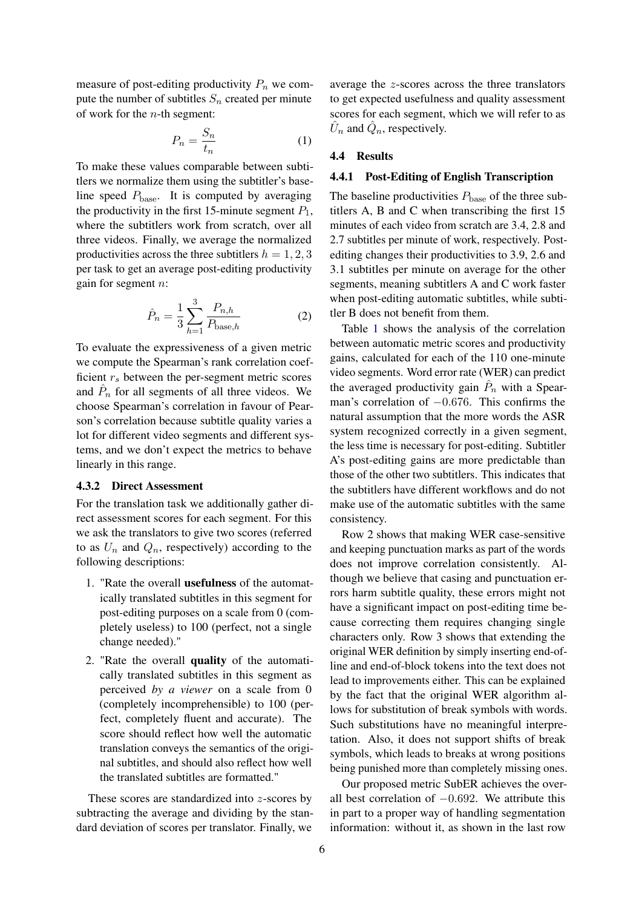measure of post-editing productivity  $P_n$  we compute the number of subtitles  $S_n$  created per minute of work for the  $n$ -th segment:

$$
P_n = \frac{S_n}{t_n} \tag{1}
$$

To make these values comparable between subtitlers we normalize them using the subtitler's baseline speed  $P_{\text{base}}$ . It is computed by averaging the productivity in the first 15-minute segment  $P_1$ , where the subtitlers work from scratch, over all three videos. Finally, we average the normalized productivities across the three subtitlers  $h = 1, 2, 3$ per task to get an average post-editing productivity gain for segment n:

$$
\hat{P}_n = \frac{1}{3} \sum_{h=1}^{3} \frac{P_{n,h}}{P_{\text{base},h}} \tag{2}
$$

To evaluate the expressiveness of a given metric we compute the Spearman's rank correlation coefficient  $r<sub>s</sub>$  between the per-segment metric scores and  $\hat{P}_n$  for all segments of all three videos. We choose Spearman's correlation in favour of Pearson's correlation because subtitle quality varies a lot for different video segments and different systems, and we don't expect the metrics to behave linearly in this range.

#### <span id="page-5-0"></span>4.3.2 Direct Assessment

For the translation task we additionally gather direct assessment scores for each segment. For this we ask the translators to give two scores (referred to as  $U_n$  and  $Q_n$ , respectively) according to the following descriptions:

- 1. "Rate the overall usefulness of the automatically translated subtitles in this segment for post-editing purposes on a scale from 0 (completely useless) to 100 (perfect, not a single change needed)."
- 2. "Rate the overall quality of the automatically translated subtitles in this segment as perceived *by a viewer* on a scale from 0 (completely incomprehensible) to 100 (perfect, completely fluent and accurate). The score should reflect how well the automatic translation conveys the semantics of the original subtitles, and should also reflect how well the translated subtitles are formatted."

These scores are standardized into z-scores by subtracting the average and dividing by the standard deviation of scores per translator. Finally, we

average the z-scores across the three translators to get expected usefulness and quality assessment scores for each segment, which we will refer to as  $\hat{U}_n$  and  $\hat{Q}_n$ , respectively.

#### 4.4 Results

#### 4.4.1 Post-Editing of English Transcription

The baseline productivities  $P_{base}$  of the three subtitlers A, B and C when transcribing the first 15 minutes of each video from scratch are 3.4, 2.8 and 2.7 subtitles per minute of work, respectively. Postediting changes their productivities to 3.9, 2.6 and 3.1 subtitles per minute on average for the other segments, meaning subtitlers A and C work faster when post-editing automatic subtitles, while subtitler B does not benefit from them.

Table [1](#page-6-0) shows the analysis of the correlation between automatic metric scores and productivity gains, calculated for each of the 110 one-minute video segments. Word error rate (WER) can predict the averaged productivity gain  $\hat{P}_n$  with a Spearman's correlation of −0.676. This confirms the natural assumption that the more words the ASR system recognized correctly in a given segment, the less time is necessary for post-editing. Subtitler A's post-editing gains are more predictable than those of the other two subtitlers. This indicates that the subtitlers have different workflows and do not make use of the automatic subtitles with the same consistency.

Row 2 shows that making WER case-sensitive and keeping punctuation marks as part of the words does not improve correlation consistently. Although we believe that casing and punctuation errors harm subtitle quality, these errors might not have a significant impact on post-editing time because correcting them requires changing single characters only. Row 3 shows that extending the original WER definition by simply inserting end-ofline and end-of-block tokens into the text does not lead to improvements either. This can be explained by the fact that the original WER algorithm allows for substitution of break symbols with words. Such substitutions have no meaningful interpretation. Also, it does not support shifts of break symbols, which leads to breaks at wrong positions being punished more than completely missing ones.

Our proposed metric SubER achieves the overall best correlation of  $-0.692$ . We attribute this in part to a proper way of handling segmentation information: without it, as shown in the last row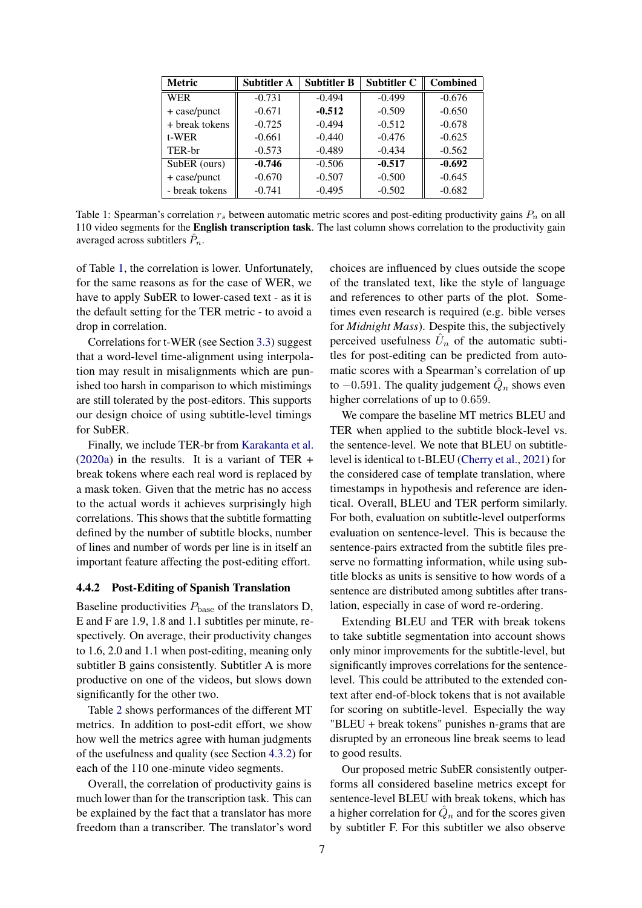<span id="page-6-0"></span>

| <b>Metric</b>  | <b>Subtitler A</b> | <b>Subtitler B</b> | <b>Subtitler C</b> | <b>Combined</b> |  |  |
|----------------|--------------------|--------------------|--------------------|-----------------|--|--|
| <b>WER</b>     | $-0.731$           | $-0.494$           | $-0.499$           | $-0.676$        |  |  |
| + case/punct   | $-0.671$           | $-0.512$           | $-0.509$           | $-0.650$        |  |  |
| + break tokens | $-0.725$           | $-0.494$           | $-0.512$           | $-0.678$        |  |  |
| t-WER          | $-0.661$           | $-0.440$           | $-0.476$           | $-0.625$        |  |  |
| TER-br         | $-0.573$           | $-0.489$           | $-0.434$           | $-0.562$        |  |  |
| SubER (ours)   | $-0.746$           | $-0.506$           | $-0.517$           | $-0.692$        |  |  |
| + case/punct   | $-0.670$           | $-0.507$           | $-0.500$           | $-0.645$        |  |  |
| - break tokens | $-0.741$           | $-0.495$           | $-0.502$           | $-0.682$        |  |  |

Table 1: Spearman's correlation  $r_s$  between automatic metric scores and post-editing productivity gains  $P_n$  on all 110 video segments for the English transcription task. The last column shows correlation to the productivity gain averaged across subtitlers  $\hat{P}_n$ .

of Table [1,](#page-6-0) the correlation is lower. Unfortunately, for the same reasons as for the case of WER, we have to apply SubER to lower-cased text - as it is the default setting for the TER metric - to avoid a drop in correlation.

Correlations for t-WER (see Section [3.3\)](#page-2-0) suggest that a word-level time-alignment using interpolation may result in misalignments which are punished too harsh in comparison to which mistimings are still tolerated by the post-editors. This supports our design choice of using subtitle-level timings for SubER.

Finally, we include TER-br from [Karakanta et al.](#page-8-5)  $(2020a)$  in the results. It is a variant of TER + break tokens where each real word is replaced by a mask token. Given that the metric has no access to the actual words it achieves surprisingly high correlations. This shows that the subtitle formatting defined by the number of subtitle blocks, number of lines and number of words per line is in itself an important feature affecting the post-editing effort.

### 4.4.2 Post-Editing of Spanish Translation

Baseline productivities  $P_{base}$  of the translators D, E and F are 1.9, 1.8 and 1.1 subtitles per minute, respectively. On average, their productivity changes to 1.6, 2.0 and 1.1 when post-editing, meaning only subtitler B gains consistently. Subtitler A is more productive on one of the videos, but slows down significantly for the other two.

Table [2](#page-7-0) shows performances of the different MT metrics. In addition to post-edit effort, we show how well the metrics agree with human judgments of the usefulness and quality (see Section [4.3.2\)](#page-5-0) for each of the 110 one-minute video segments.

Overall, the correlation of productivity gains is much lower than for the transcription task. This can be explained by the fact that a translator has more freedom than a transcriber. The translator's word choices are influenced by clues outside the scope of the translated text, like the style of language and references to other parts of the plot. Sometimes even research is required (e.g. bible verses for *Midnight Mass*). Despite this, the subjectively perceived usefulness  $\hat{U}_n$  of the automatic subtitles for post-editing can be predicted from automatic scores with a Spearman's correlation of up to  $-0.591$ . The quality judgement  $\hat{Q}_n$  shows even higher correlations of up to 0.659.

We compare the baseline MT metrics BLEU and TER when applied to the subtitle block-level vs. the sentence-level. We note that BLEU on subtitlelevel is identical to t-BLEU [\(Cherry et al.,](#page-8-11) [2021\)](#page-8-11) for the considered case of template translation, where timestamps in hypothesis and reference are identical. Overall, BLEU and TER perform similarly. For both, evaluation on subtitle-level outperforms evaluation on sentence-level. This is because the sentence-pairs extracted from the subtitle files preserve no formatting information, while using subtitle blocks as units is sensitive to how words of a sentence are distributed among subtitles after translation, especially in case of word re-ordering.

Extending BLEU and TER with break tokens to take subtitle segmentation into account shows only minor improvements for the subtitle-level, but significantly improves correlations for the sentencelevel. This could be attributed to the extended context after end-of-block tokens that is not available for scoring on subtitle-level. Especially the way "BLEU + break tokens" punishes n-grams that are disrupted by an erroneous line break seems to lead to good results.

Our proposed metric SubER consistently outperforms all considered baseline metrics except for sentence-level BLEU with break tokens, which has a higher correlation for  $\hat{Q}_n$  and for the scores given by subtitler F. For this subtitler we also observe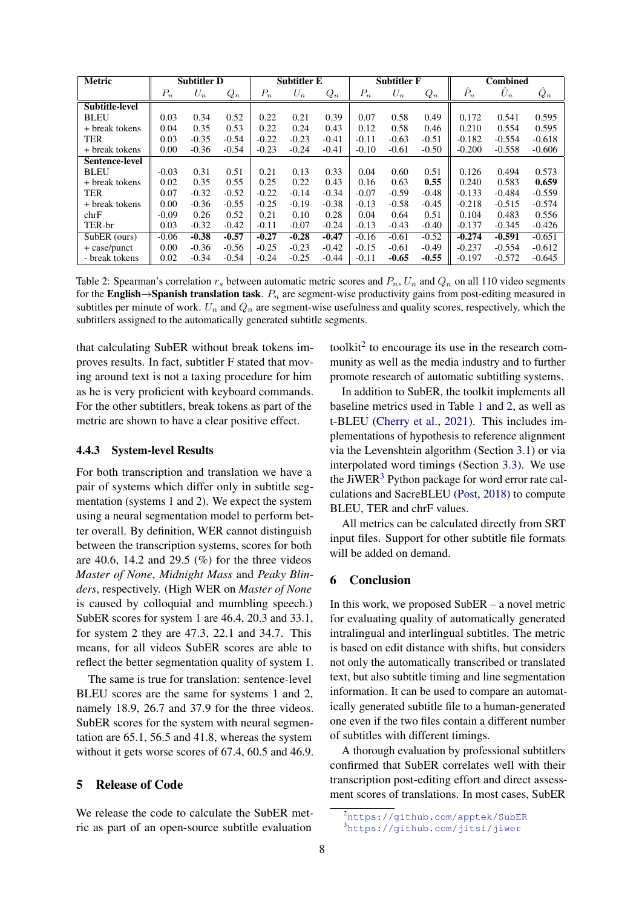<span id="page-7-0"></span>

| <b>Metric</b>         | <b>Subtitler D</b> |         | <b>Subtitler E</b> |         | <b>Subtitler F</b> |         | <b>Combined</b> |         |         |              |             |          |
|-----------------------|--------------------|---------|--------------------|---------|--------------------|---------|-----------------|---------|---------|--------------|-------------|----------|
|                       | $P_n$              | $U_n$   | $Q_n$              | $P_n$   | $U_n$              | $Q_n$   | $P_n$           | $U_n$   | $Q_n$   | $\ddot{P}_n$ | $\hat{U}_n$ | $Q_n$    |
| <b>Subtitle-level</b> |                    |         |                    |         |                    |         |                 |         |         |              |             |          |
| <b>BLEU</b>           | 0.03               | 0.34    | 0.52               | 0.22    | 0.21               | 0.39    | 0.07            | 0.58    | 0.49    | 0.172        | 0.541       | 0.595    |
| + break tokens        | 0.04               | 0.35    | 0.53               | 0.22    | 0.24               | 0.43    | 0.12            | 0.58    | 0.46    | 0.210        | 0.554       | 0.595    |
| <b>TER</b>            | 0.03               | $-0.35$ | $-0.54$            | $-0.22$ | $-0.23$            | $-0.41$ | $-0.11$         | $-0.63$ | $-0.51$ | $-0.182$     | $-0.554$    | $-0.618$ |
| + break tokens        | 0.00               | $-0.36$ | $-0.54$            | $-0.23$ | $-0.24$            | $-0.41$ | $-0.10$         | $-0.61$ | $-0.50$ | $-0.200$     | $-0.558$    | $-0.606$ |
| <b>Sentence-level</b> |                    |         |                    |         |                    |         |                 |         |         |              |             |          |
| <b>BLEU</b>           | $-0.03$            | 0.31    | 0.51               | 0.21    | 0.13               | 0.33    | 0.04            | 0.60    | 0.51    | 0.126        | 0.494       | 0.573    |
| + break tokens        | 0.02               | 0.35    | 0.55               | 0.25    | 0.22               | 0.43    | 0.16            | 0.63    | 0.55    | 0.240        | 0.583       | 0.659    |
| <b>TER</b>            | 0.07               | $-0.32$ | $-0.52$            | $-0.22$ | $-0.14$            | $-0.34$ | $-0.07$         | $-0.59$ | $-0.48$ | $-0.133$     | $-0.484$    | $-0.559$ |
| + break tokens        | 0.00               | $-0.36$ | $-0.55$            | $-0.25$ | $-0.19$            | $-0.38$ | $-0.13$         | $-0.58$ | $-0.45$ | $-0.218$     | $-0.515$    | $-0.574$ |
| chrF                  | $-0.09$            | 0.26    | 0.52               | 0.21    | 0.10               | 0.28    | 0.04            | 0.64    | 0.51    | 0.104        | 0.483       | 0.556    |
| TER-br                | 0.03               | $-0.32$ | $-0.42$            | $-0.11$ | $-0.07$            | $-0.24$ | $-0.13$         | $-0.43$ | $-0.40$ | $-0.137$     | $-0.345$    | $-0.426$ |
| SubER (ours)          | $-0.06$            | $-0.38$ | $-0.57$            | $-0.27$ | $-0.28$            | $-0.47$ | $-0.16$         | $-0.61$ | $-0.52$ | $-0.274$     | $-0.591$    | $-0.651$ |
| $+$ case/punct        | 0.00               | $-0.36$ | $-0.56$            | $-0.25$ | $-0.23$            | $-0.42$ | $-0.15$         | $-0.61$ | $-0.49$ | $-0.237$     | $-0.554$    | $-0.612$ |
| - break tokens        | 0.02               | $-0.34$ | $-0.54$            | $-0.24$ | $-0.25$            | $-0.44$ | $-0.11$         | $-0.65$ | $-0.55$ | $-0.197$     | $-0.572$    | $-0.645$ |

Table 2: Spearman's correlation  $r_s$  between automatic metric scores and  $P_n$ ,  $U_n$  and  $Q_n$  on all 110 video segments for the English→Spanish translation task.  $P_n$  are segment-wise productivity gains from post-editing measured in subtitles per minute of work.  $U_n$  and  $Q_n$  are segment-wise usefulness and quality scores, respectively, which the subtitlers assigned to the automatically generated subtitle segments.

that calculating SubER without break tokens improves results. In fact, subtitler F stated that moving around text is not a taxing procedure for him as he is very proficient with keyboard commands. For the other subtitlers, break tokens as part of the metric are shown to have a clear positive effect.

#### 4.4.3 System-level Results

For both transcription and translation we have a pair of systems which differ only in subtitle segmentation (systems 1 and 2). We expect the system using a neural segmentation model to perform better overall. By definition, WER cannot distinguish between the transcription systems, scores for both are 40.6, 14.2 and 29.5  $(\%)$  for the three videos *Master of None*, *Midnight Mass* and *Peaky Blinders*, respectively. (High WER on *Master of None* is caused by colloquial and mumbling speech.) SubER scores for system 1 are 46.4, 20.3 and 33.1, for system 2 they are 47.3, 22.1 and 34.7. This means, for all videos SubER scores are able to reflect the better segmentation quality of system 1.

The same is true for translation: sentence-level BLEU scores are the same for systems 1 and 2, namely 18.9, 26.7 and 37.9 for the three videos. SubER scores for the system with neural segmentation are 65.1, 56.5 and 41.8, whereas the system without it gets worse scores of 67.4, 60.5 and 46.9.

# 5 Release of Code

We release the code to calculate the SubER metric as part of an open-source subtitle evaluation

toolkit<sup>[2](#page-7-1)</sup> to encourage its use in the research community as well as the media industry and to further promote research of automatic subtitling systems.

In addition to SubER, the toolkit implements all baseline metrics used in Table [1](#page-6-0) and [2,](#page-7-0) as well as t-BLEU [\(Cherry et al.,](#page-8-11) [2021\)](#page-8-11). This includes implementations of hypothesis to reference alignment via the Levenshtein algorithm (Section [3.1\)](#page-1-2) or via interpolated word timings (Section [3.3\)](#page-2-0). We use the JiWER<sup>[3](#page-7-2)</sup> Python package for word error rate calculations and SacreBLEU [\(Post,](#page-8-12) [2018\)](#page-8-12) to compute BLEU, TER and chrF values.

All metrics can be calculated directly from SRT input files. Support for other subtitle file formats will be added on demand.

## 6 Conclusion

In this work, we proposed SubER – a novel metric for evaluating quality of automatically generated intralingual and interlingual subtitles. The metric is based on edit distance with shifts, but considers not only the automatically transcribed or translated text, but also subtitle timing and line segmentation information. It can be used to compare an automatically generated subtitle file to a human-generated one even if the two files contain a different number of subtitles with different timings.

A thorough evaluation by professional subtitlers confirmed that SubER correlates well with their transcription post-editing effort and direct assessment scores of translations. In most cases, SubER

<span id="page-7-1"></span><sup>2</sup><https://github.com/apptek/SubER>

<span id="page-7-2"></span><sup>3</sup><https://github.com/jitsi/jiwer>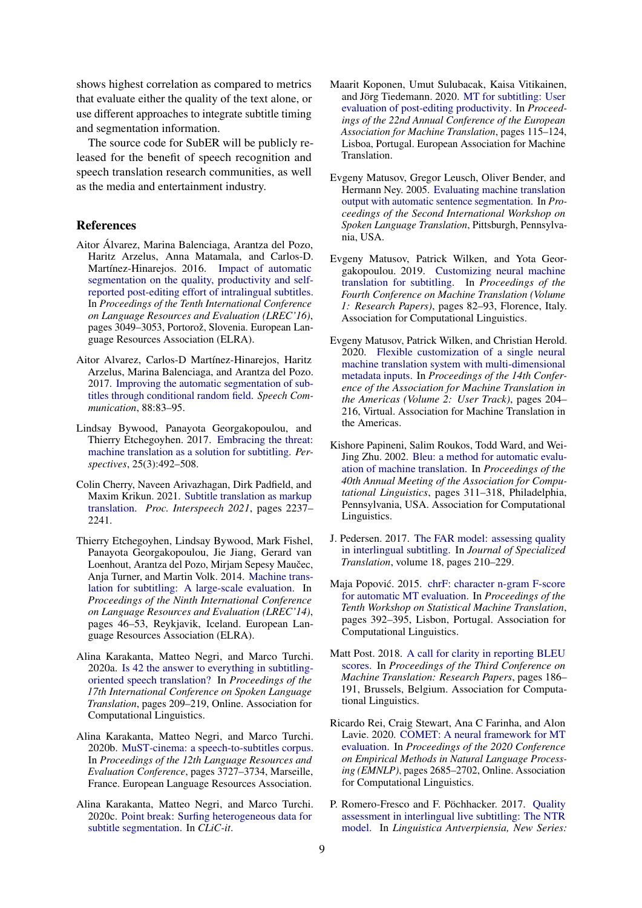shows highest correlation as compared to metrics that evaluate either the quality of the text alone, or use different approaches to integrate subtitle timing and segmentation information.

The source code for SubER will be publicly released for the benefit of speech recognition and speech translation research communities, as well as the media and entertainment industry.

#### References

- <span id="page-8-16"></span>Aitor Álvarez, Marina Balenciaga, Arantza del Pozo, Haritz Arzelus, Anna Matamala, and Carlos-D. Martínez-Hinarejos. 2016. [Impact of automatic](https://aclanthology.org/L16-1487) [segmentation on the quality, productivity and self](https://aclanthology.org/L16-1487)[reported post-editing effort of intralingual subtitles.](https://aclanthology.org/L16-1487) In *Proceedings of the Tenth International Conference on Language Resources and Evaluation (LREC'16)*, pages 3049–3053, Portorož, Slovenia. European Language Resources Association (ELRA).
- <span id="page-8-7"></span>Aitor Alvarez, Carlos-D Martínez-Hinarejos, Haritz Arzelus, Marina Balenciaga, and Arantza del Pozo. 2017. [Improving the automatic segmentation of sub](https://riunet.upv.es/bitstream/handle/10251/104008/Improving_the_Automatic_Segmentation_of_Subtitles.pdf)[titles through conditional random field.](https://riunet.upv.es/bitstream/handle/10251/104008/Improving_the_Automatic_Segmentation_of_Subtitles.pdf) *Speech Communication*, 88:83–95.
- <span id="page-8-14"></span>Lindsay Bywood, Panayota Georgakopoulou, and Thierry Etchegoyhen. 2017. [Embracing the threat:](https://westminsterresearch.westminster.ac.uk/download/9a38cde4c5b97fdc82bb0f267bdd136e7a7610d2a08b9e25bf6c952e71f71399/191070/Bywood%20et%20al.%20OK.pdf) [machine translation as a solution for subtitling.](https://westminsterresearch.westminster.ac.uk/download/9a38cde4c5b97fdc82bb0f267bdd136e7a7610d2a08b9e25bf6c952e71f71399/191070/Bywood%20et%20al.%20OK.pdf) *Perspectives*, 25(3):492–508.
- <span id="page-8-11"></span>Colin Cherry, Naveen Arivazhagan, Dirk Padfield, and Maxim Krikun. 2021. [Subtitle translation as markup](https://www.isca-speech.org/archive/pdfs/interspeech_2021/cherry21_interspeech.pdf) [translation.](https://www.isca-speech.org/archive/pdfs/interspeech_2021/cherry21_interspeech.pdf) *Proc. Interspeech 2021*, pages 2237– 2241.
- <span id="page-8-13"></span>Thierry Etchegoyhen, Lindsay Bywood, Mark Fishel, Panayota Georgakopoulou, Jie Jiang, Gerard van Loenhout, Arantza del Pozo, Mirjam Sepesy Maučec, Anja Turner, and Martin Volk. 2014. [Machine trans](http://www.lrec-conf.org/proceedings/lrec2014/pdf/463_Paper.pdf)[lation for subtitling: A large-scale evaluation.](http://www.lrec-conf.org/proceedings/lrec2014/pdf/463_Paper.pdf) In *Proceedings of the Ninth International Conference on Language Resources and Evaluation (LREC'14)*, pages 46–53, Reykjavik, Iceland. European Language Resources Association (ELRA).
- <span id="page-8-5"></span>Alina Karakanta, Matteo Negri, and Marco Turchi. 2020a. [Is 42 the answer to everything in subtitling](https://doi.org/10.18653/v1/2020.iwslt-1.26)[oriented speech translation?](https://doi.org/10.18653/v1/2020.iwslt-1.26) In *Proceedings of the 17th International Conference on Spoken Language Translation*, pages 209–219, Online. Association for Computational Linguistics.
- <span id="page-8-8"></span>Alina Karakanta, Matteo Negri, and Marco Turchi. 2020b. [MuST-cinema: a speech-to-subtitles corpus.](https://aclanthology.org/2020.lrec-1.460) In *Proceedings of the 12th Language Resources and Evaluation Conference*, pages 3727–3734, Marseille, France. European Language Resources Association.
- <span id="page-8-9"></span>Alina Karakanta, Matteo Negri, and Marco Turchi. 2020c. [Point break: Surfing heterogeneous data for](http://ceur-ws.org/Vol-2769/paper_78.pdf) [subtitle segmentation.](http://ceur-ws.org/Vol-2769/paper_78.pdf) In *CLiC-it*.
- <span id="page-8-15"></span>Maarit Koponen, Umut Sulubacak, Kaisa Vitikainen, and Jörg Tiedemann. 2020. [MT for subtitling: User](https://aclanthology.org/2020.eamt-1.13) [evaluation of post-editing productivity.](https://aclanthology.org/2020.eamt-1.13) In *Proceedings of the 22nd Annual Conference of the European Association for Machine Translation*, pages 115–124, Lisboa, Portugal. European Association for Machine Translation.
- <span id="page-8-6"></span>Evgeny Matusov, Gregor Leusch, Oliver Bender, and Hermann Ney. 2005. [Evaluating machine translation](https://aclanthology.org/2006.iwslt-papers.1) [output with automatic sentence segmentation. In](https://aclanthology.org/2006.iwslt-papers.1) *Proceedings of the Second International Workshop on Spoken Language Translation*, Pittsburgh, Pennsylvania, USA.
- <span id="page-8-10"></span>Evgeny Matusov, Patr[ick Wilken, and Yota Geor](https://doi.org/10.18653/v1/W19-5209)[gakopoulou. 2019.](https://doi.org/10.18653/v1/W19-5209) Customizing neural machine translation for subtitling. In *Proceedings of the Fourth Conference on Machine Translation (Volume 1: Research Papers)*, pages 82–93, Florence, Italy. Association for Computational Linguistics.
- <span id="page-8-17"></span>Evgeny M[atusov, Patrick Wilken, and Christian Herold.](https://aclanthology.org/2020.amta-user.10) 2020. [Flexible customization of a single neural](https://aclanthology.org/2020.amta-user.10) [machine translat](https://aclanthology.org/2020.amta-user.10)ion system with multi-dimensional metadata inputs. In *Proceedings of the 14th Conference of the Association for Machine Translation in the Americas (Volume 2: User Track)*, pages 204– 216, Virtual. Association for Machine Translation in the Americas.
- <span id="page-8-0"></span>K[ishore Papineni, Salim Roukos, Todd Ward, and Wei-](https://doi.org/10.3115/1073083.1073135)Jing Zhu. 2002. Bleu: a method for automatic evaluation of machine translation. In *Proceedings of the 40th Annual Meeting of the Association for Computational Linguistics*, pages 311–318, Philadelphia, Pennsylvania, USA. Association for Computational Linguistics.
- <span id="page-8-4"></span><span id="page-8-1"></span>J. [Pedersen. 2017.](https://www.jostrans.org/issue28/art_pedersen.pdf) The FAR model: assessing quality in interlingual subtitling. In *Journal of Specialized Translation*, volum[e 18, pages 210–229.](https://doi.org/10.18653/v1/W15-3049)
- Maja Popović. 2015. chrF: character n-gram F-score for automatic MT evaluation. In *Proceedings of the Tenth Workshop on Statistical Machine Translation*, pages 392–395, Lisbon, Portugal. Association for Computationa[l Linguistics.](https://doi.org/10.18653/v1/W18-6319)
- <span id="page-8-12"></span>M[att Post](https://doi.org/10.18653/v1/W18-6319). 2018. A call for clarity in reporting BLEU scores. In *Proceedings of the Third Conference on Machine Translation: Research Papers*, pages 186– 191, Brussels, Belgium. Association for Computational Linguistics.
- <span id="page-8-2"></span>Ri[cardo Rei,](https://doi.org/10.18653/v1/2020.emnlp-main.213) Craig Stewart, Ana C Farinha, and Alon Lavie. 2020. COMET: A neural framework for MT evaluation. In *Proceedings of the 2020 Conference on Empirical Methods in Natural Language Processing (EMNLP)*, pages 2685–2702, Online. Association for Computational Linguistics.
- <span id="page-8-3"></span>P. [Romero](https://lans-tts.uantwerpen.be/index.php/LANS-TTS/article/view/438)-Fresco and F. Pöchhacker. 2017. Quality assessment in interlingual live subtitling: The NTR model. In *Linguistica Antverpiensia, New Series:*